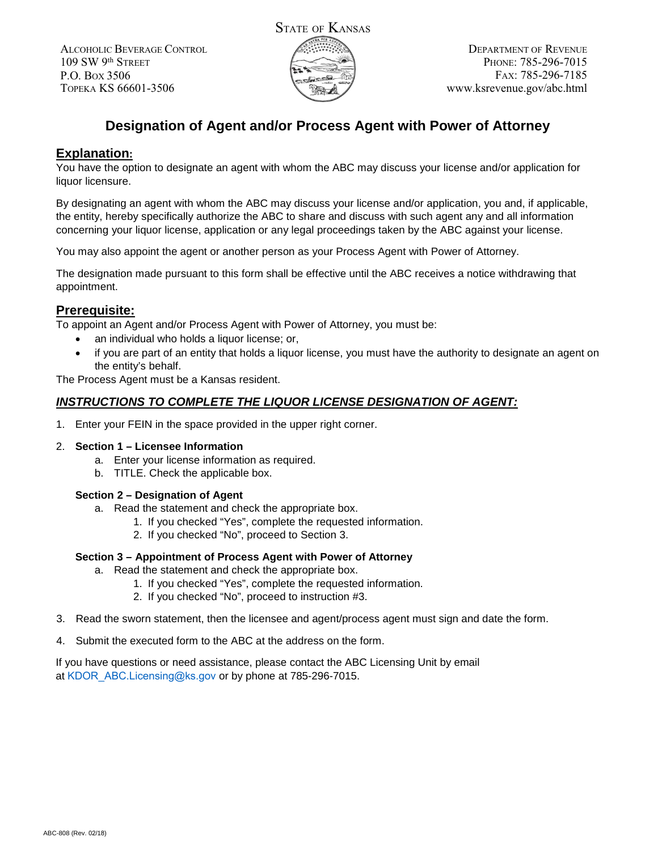ALCOHOLIC BEVERAGE CONTROL 109 SW 9th STREET P.O. BOX 3506 TOPEKA KS 66601-3506



# **Designation of Agent and/or Process Agent with Power of Attorney**

## **Explanation:**

You have the option to designate an agent with whom the ABC may discuss your license and/or application for liquor licensure.

By designating an agent with whom the ABC may discuss your license and/or application, you and, if applicable, the entity, hereby specifically authorize the ABC to share and discuss with such agent any and all information concerning your liquor license, application or any legal proceedings taken by the ABC against your license.

You may also appoint the agent or another person as your Process Agent with Power of Attorney.

The designation made pursuant to this form shall be effective until the ABC receives a notice withdrawing that appointment.

## **Prerequisite:**

To appoint an Agent and/or Process Agent with Power of Attorney, you must be:

- an individual who holds a liquor license; or,
- if you are part of an entity that holds a liquor license, you must have the authority to designate an agent on the entity's behalf.

The Process Agent must be a Kansas resident.

### *INSTRUCTIONS TO COMPLETE THE LIQUOR LICENSE DESIGNATION OF AGENT:*

1. Enter your FEIN in the space provided in the upper right corner.

#### 2. **Section 1 – Licensee Information**

- a. Enter your license information as required.
- b. TITLE. Check the applicable box.

#### **Section 2 – Designation of Agent**

- a. Read the statement and check the appropriate box.
	- 1. If you checked "Yes", complete the requested information.
	- 2. If you checked "No", proceed to Section 3.

#### **Section 3 – Appointment of Process Agent with Power of Attorney**

- a. Read the statement and check the appropriate box.
	- 1. If you checked "Yes", complete the requested information.
	- 2. If you checked "No", proceed to instruction #3.
- 3. Read the sworn statement, then the licensee and agent/process agent must sign and date the form.
- 4. Submit the executed form to the ABC at the address on the form.

If you have questions or need assistance, please contact the ABC Licensing Unit by email at KDOR ABC.Licensing@ks.gov or by phone at 785-296-7015.